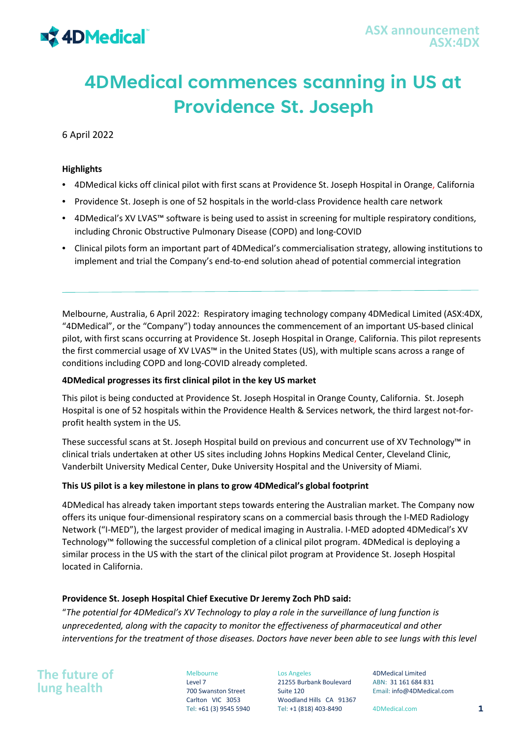

# **4DMedical commences scanning in US at Providence St. Joseph**

6 April 2022

## **Highlights**

- 4DMedical kicks off clinical pilot with first scans at Providence St. Joseph Hospital in Orange, California
- Providence St. Joseph is one of 52 hospitals in the world-class Providence health care network
- 4DMedical's XV LVAS™ software is being used to assist in screening for multiple respiratory conditions, including Chronic Obstructive Pulmonary Disease (COPD) and long-COVID
- Clinical pilots form an important part of 4DMedical's commercialisation strategy, allowing institutions to implement and trial the Company's end-to-end solution ahead of potential commercial integration

Melbourne, Australia, 6 April 2022: Respiratory imaging technology company 4DMedical Limited (ASX:4DX, "4DMedical", or the "Company") today announces the commencement of an important US-based clinical pilot, with first scans occurring at Providence St. Joseph Hospital in Orange, California. This pilot represents the first commercial usage of XV LVAS™ in the United States (US), with multiple scans across a range of conditions including COPD and long-COVID already completed.

## **4DMedical progresses its first clinical pilot in the key US market**

This pilot is being conducted at Providence St. Joseph Hospital in Orange County, California. St. Joseph Hospital is one of 52 hospitals within the Providence Health & Services network, the third largest not-forprofit health system in the US.

These successful scans at St. Joseph Hospital build on previous and concurrent use of XV Technology™ in clinical trials undertaken at other US sites including Johns Hopkins Medical Center, Cleveland Clinic, Vanderbilt University Medical Center, Duke University Hospital and the University of Miami.

## **This US pilot is a key milestone in plans to grow 4DMedical's global footprint**

4DMedical has already taken important steps towards entering the Australian market. The Company now offers its unique four-dimensional respiratory scans on a commercial basis through the I-MED Radiology Network ("I-MED"), the largest provider of medical imaging in Australia. I-MED adopted 4DMedical's XV Technology™ following the successful completion of a clinical pilot program. 4DMedical is deploying a similar process in the US with the start of the clinical pilot program at Providence St. Joseph Hospital located in California.

## **Providence St. Joseph Hospital Chief Executive Dr Jeremy Zoch PhD said:**

"*The potential for 4DMedical's XV Technology to play a role in the surveillance of lung function is unprecedented, along with the capacity to monitor the effectiveness of pharmaceutical and other interventions for the treatment of those diseases. Doctors have never been able to see lungs with this level* 

**The future of lung health**

Melbourne Level 7 700 Swanston Street Carlton VIC 3053

Los Angeles 21255 Burbank Boulevard Suite 120 Woodland Hills CA 91367 Tel: +61 (3) 9545 5940 Tel: +1 (818) 403-8490 4DMedical.com **1**

4DMedical Limited ABN: 31 161 684 831 Email: info@4DMedical.com